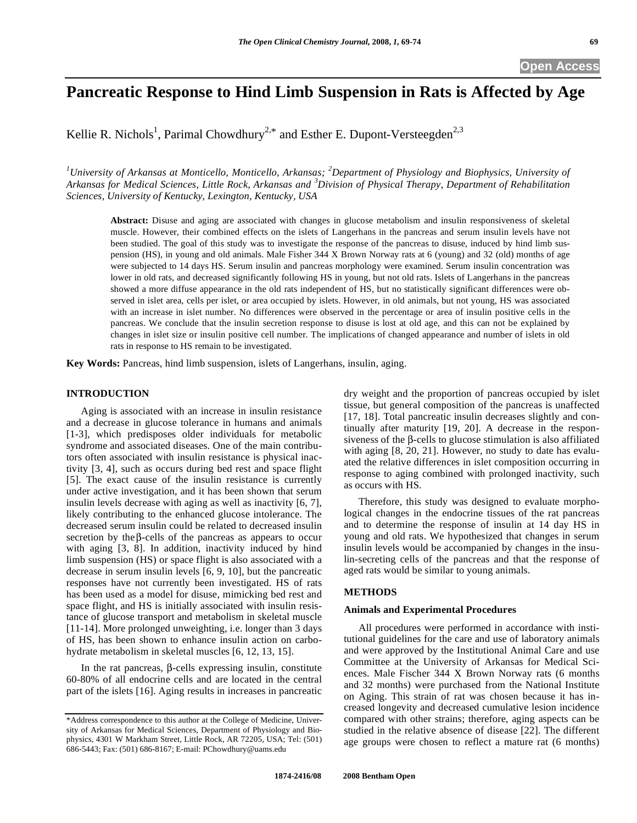# **Pancreatic Response to Hind Limb Suspension in Rats is Affected by Age**

Kellie R. Nichols<sup>1</sup>, Parimal Chowdhury<sup>2,\*</sup> and Esther E. Dupont-Versteegden<sup>2,3</sup>

*1 University of Arkansas at Monticello, Monticello, Arkansas; <sup>2</sup> Department of Physiology and Biophysics, University of Arkansas for Medical Sciences, Little Rock, Arkansas and <sup>3</sup> Division of Physical Therapy, Department of Rehabilitation Sciences, University of Kentucky, Lexington, Kentucky, USA* 

**Abstract:** Disuse and aging are associated with changes in glucose metabolism and insulin responsiveness of skeletal muscle. However, their combined effects on the islets of Langerhans in the pancreas and serum insulin levels have not been studied. The goal of this study was to investigate the response of the pancreas to disuse, induced by hind limb suspension (HS), in young and old animals. Male Fisher 344 X Brown Norway rats at 6 (young) and 32 (old) months of age were subjected to 14 days HS. Serum insulin and pancreas morphology were examined. Serum insulin concentration was lower in old rats, and decreased significantly following HS in young, but not old rats. Islets of Langerhans in the pancreas showed a more diffuse appearance in the old rats independent of HS, but no statistically significant differences were observed in islet area, cells per islet, or area occupied by islets. However, in old animals, but not young, HS was associated with an increase in islet number. No differences were observed in the percentage or area of insulin positive cells in the pancreas. We conclude that the insulin secretion response to disuse is lost at old age, and this can not be explained by changes in islet size or insulin positive cell number. The implications of changed appearance and number of islets in old rats in response to HS remain to be investigated.

**Key Words:** Pancreas, hind limb suspension, islets of Langerhans, insulin, aging.

## **INTRODUCTION**

 Aging is associated with an increase in insulin resistance and a decrease in glucose tolerance in humans and animals [1-3], which predisposes older individuals for metabolic syndrome and associated diseases. One of the main contributors often associated with insulin resistance is physical inactivity [3, 4], such as occurs during bed rest and space flight [5]. The exact cause of the insulin resistance is currently under active investigation, and it has been shown that serum insulin levels decrease with aging as well as inactivity [6, 7], likely contributing to the enhanced glucose intolerance. The decreased serum insulin could be related to decreased insulin secretion by the  $\beta$ -cells of the pancreas as appears to occur with aging [3, 8]. In addition, inactivity induced by hind limb suspension (HS) or space flight is also associated with a decrease in serum insulin levels [6, 9, 10], but the pancreatic responses have not currently been investigated. HS of rats has been used as a model for disuse, mimicking bed rest and space flight, and HS is initially associated with insulin resistance of glucose transport and metabolism in skeletal muscle [11-14]. More prolonged unweighting, i.e. longer than 3 days of HS, has been shown to enhance insulin action on carbohydrate metabolism in skeletal muscles [6, 12, 13, 15].

In the rat pancreas,  $\beta$ -cells expressing insulin, constitute 60-80% of all endocrine cells and are located in the central part of the islets [16]. Aging results in increases in pancreatic dry weight and the proportion of pancreas occupied by islet tissue, but general composition of the pancreas is unaffected [17, 18]. Total pancreatic insulin decreases slightly and continually after maturity [19, 20]. A decrease in the responsiveness of the  $\beta$ -cells to glucose stimulation is also affiliated with aging [8, 20, 21]. However, no study to date has evaluated the relative differences in islet composition occurring in response to aging combined with prolonged inactivity, such as occurs with HS.

 Therefore, this study was designed to evaluate morphological changes in the endocrine tissues of the rat pancreas and to determine the response of insulin at 14 day HS in young and old rats. We hypothesized that changes in serum insulin levels would be accompanied by changes in the insulin-secreting cells of the pancreas and that the response of aged rats would be similar to young animals.

#### **METHODS**

### **Animals and Experimental Procedures**

 All procedures were performed in accordance with institutional guidelines for the care and use of laboratory animals and were approved by the Institutional Animal Care and use Committee at the University of Arkansas for Medical Sciences. Male Fischer 344 X Brown Norway rats (6 months and 32 months) were purchased from the National Institute on Aging. This strain of rat was chosen because it has increased longevity and decreased cumulative lesion incidence compared with other strains; therefore, aging aspects can be studied in the relative absence of disease [22]. The different age groups were chosen to reflect a mature rat (6 months)

<sup>\*</sup>Address correspondence to this author at the College of Medicine, University of Arkansas for Medical Sciences, Department of Physiology and Biophysics, 4301 W Markham Street, Little Rock, AR 72205, USA; Tel: (501) 686-5443; Fax: (501) 686-8167; E-mail: PChowdhury@uams.edu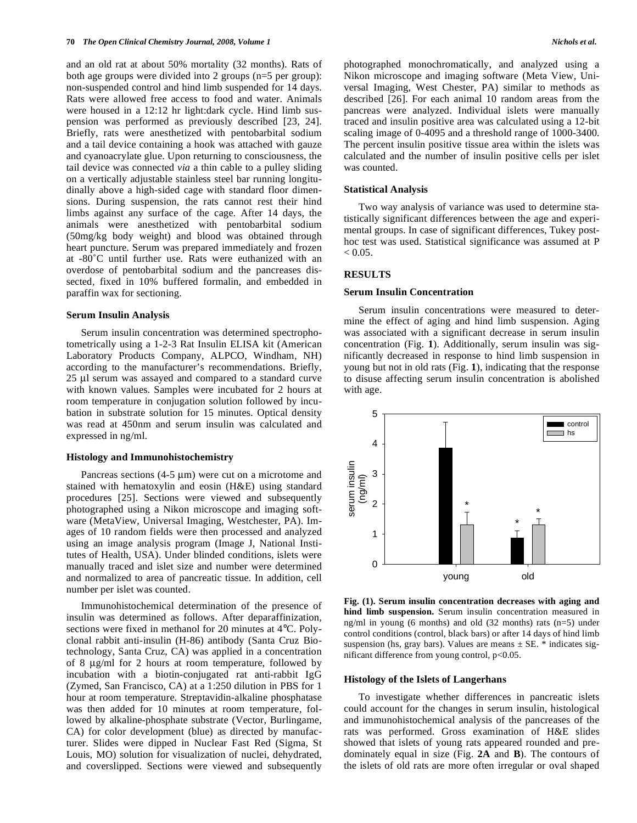and an old rat at about 50% mortality (32 months). Rats of both age groups were divided into 2 groups (n=5 per group): non-suspended control and hind limb suspended for 14 days. Rats were allowed free access to food and water. Animals were housed in a 12:12 hr light:dark cycle. Hind limb suspension was performed as previously described [23, 24]. Briefly, rats were anesthetized with pentobarbital sodium and a tail device containing a hook was attached with gauze and cyanoacrylate glue. Upon returning to consciousness, the tail device was connected *via* a thin cable to a pulley sliding on a vertically adjustable stainless steel bar running longitudinally above a high-sided cage with standard floor dimensions. During suspension, the rats cannot rest their hind limbs against any surface of the cage. After 14 days, the animals were anesthetized with pentobarbital sodium (50mg/kg body weight) and blood was obtained through heart puncture. Serum was prepared immediately and frozen at -80˚C until further use. Rats were euthanized with an overdose of pentobarbital sodium and the pancreases dissected, fixed in 10% buffered formalin, and embedded in paraffin wax for sectioning.

#### **Serum Insulin Analysis**

 Serum insulin concentration was determined spectrophotometrically using a 1-2-3 Rat Insulin ELISA kit (American Laboratory Products Company, ALPCO, Windham, NH) according to the manufacturer's recommendations. Briefly, 25 μl serum was assayed and compared to a standard curve with known values. Samples were incubated for 2 hours at room temperature in conjugation solution followed by incubation in substrate solution for 15 minutes. Optical density was read at 450nm and serum insulin was calculated and expressed in ng/ml.

#### **Histology and Immunohistochemistry**

Pancreas sections  $(4-5 \mu m)$  were cut on a microtome and stained with hematoxylin and eosin (H&E) using standard procedures [25]. Sections were viewed and subsequently photographed using a Nikon microscope and imaging software (MetaView, Universal Imaging, Westchester, PA). Images of 10 random fields were then processed and analyzed using an image analysis program (Image J, National Institutes of Health, USA). Under blinded conditions, islets were manually traced and islet size and number were determined and normalized to area of pancreatic tissue. In addition, cell number per islet was counted.

 Immunohistochemical determination of the presence of insulin was determined as follows. After deparaffinization, sections were fixed in methanol for 20 minutes at 4°C. Polyclonal rabbit anti-insulin (H-86) antibody (Santa Cruz Biotechnology, Santa Cruz, CA) was applied in a concentration of 8 μg/ml for 2 hours at room temperature, followed by incubation with a biotin-conjugated rat anti-rabbit IgG (Zymed, San Francisco, CA) at a 1:250 dilution in PBS for 1 hour at room temperature. Streptavidin-alkaline phosphatase was then added for 10 minutes at room temperature, followed by alkaline-phosphate substrate (Vector, Burlingame, CA) for color development (blue) as directed by manufacturer. Slides were dipped in Nuclear Fast Red (Sigma, St Louis, MO) solution for visualization of nuclei, dehydrated, and coverslipped. Sections were viewed and subsequently

photographed monochromatically, and analyzed using a Nikon microscope and imaging software (Meta View, Universal Imaging, West Chester, PA) similar to methods as described [26]. For each animal 10 random areas from the pancreas were analyzed. Individual islets were manually traced and insulin positive area was calculated using a 12-bit scaling image of 0-4095 and a threshold range of 1000-3400. The percent insulin positive tissue area within the islets was calculated and the number of insulin positive cells per islet was counted.

#### **Statistical Analysis**

 Two way analysis of variance was used to determine statistically significant differences between the age and experimental groups. In case of significant differences, Tukey posthoc test was used. Statistical significance was assumed at P  $< 0.05$ .

#### **RESULTS**

#### **Serum Insulin Concentration**

 Serum insulin concentrations were measured to determine the effect of aging and hind limb suspension. Aging was associated with a significant decrease in serum insulin concentration (Fig. **1**). Additionally, serum insulin was significantly decreased in response to hind limb suspension in young but not in old rats (Fig. **1**), indicating that the response to disuse affecting serum insulin concentration is abolished with age.



**Fig. (1). Serum insulin concentration decreases with aging and hind limb suspension.** Serum insulin concentration measured in ng/ml in young (6 months) and old (32 months) rats (n=5) under control conditions (control, black bars) or after 14 days of hind limb suspension (hs, gray bars). Values are means  $\pm$  SE. \* indicates significant difference from young control,  $p<0.05$ .

#### **Histology of the Islets of Langerhans**

 To investigate whether differences in pancreatic islets could account for the changes in serum insulin, histological and immunohistochemical analysis of the pancreases of the rats was performed. Gross examination of H&E slides showed that islets of young rats appeared rounded and predominately equal in size (Fig. **2A** and **B**). The contours of the islets of old rats are more often irregular or oval shaped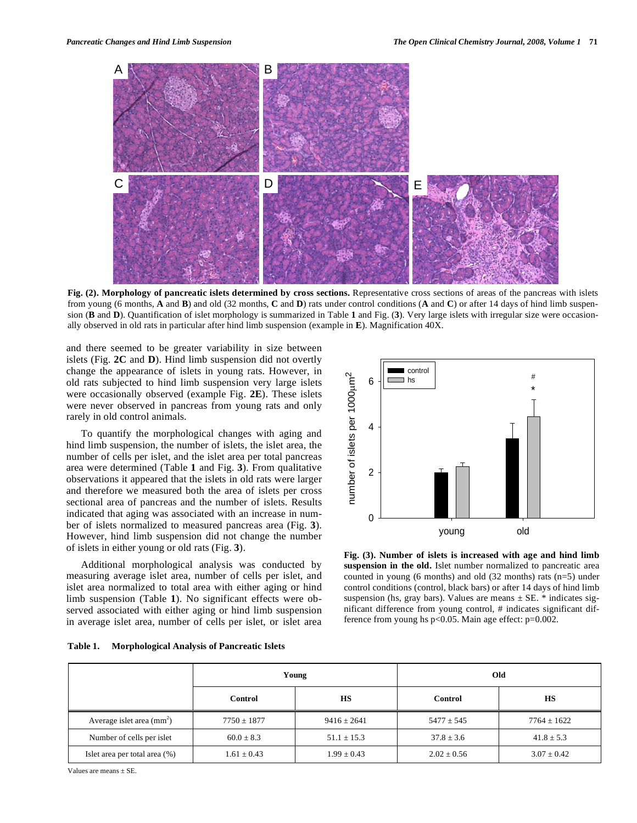

**Fig. (2). Morphology of pancreatic islets determined by cross sections.** Representative cross sections of areas of the pancreas with islets from young (6 months, **A** and **B**) and old (32 months, **C** and **D**) rats under control conditions (**A** and **C**) or after 14 days of hind limb suspension (**B** and **D**). Quantification of islet morphology is summarized in Table **1** and Fig. (**3**). Very large islets with irregular size were occasionally observed in old rats in particular after hind limb suspension (example in **E**). Magnification 40X.

and there seemed to be greater variability in size between islets (Fig. **2C** and **D**). Hind limb suspension did not overtly change the appearance of islets in young rats. However, in old rats subjected to hind limb suspension very large islets were occasionally observed (example Fig. **2E**). These islets were never observed in pancreas from young rats and only rarely in old control animals.

 To quantify the morphological changes with aging and hind limb suspension, the number of islets, the islet area, the number of cells per islet, and the islet area per total pancreas area were determined (Table **1** and Fig. **3**). From qualitative observations it appeared that the islets in old rats were larger and therefore we measured both the area of islets per cross sectional area of pancreas and the number of islets. Results indicated that aging was associated with an increase in number of islets normalized to measured pancreas area (Fig. **3**). However, hind limb suspension did not change the number of islets in either young or old rats (Fig. **3**).

 Additional morphological analysis was conducted by measuring average islet area, number of cells per islet, and islet area normalized to total area with either aging or hind limb suspension (Table **1**). No significant effects were observed associated with either aging or hind limb suspension in average islet area, number of cells per islet, or islet area



**Fig. (3). Number of islets is increased with age and hind limb suspension in the old.** Islet number normalized to pancreatic area counted in young (6 months) and old (32 months) rats (n=5) under control conditions (control, black bars) or after 14 days of hind limb suspension (hs, gray bars). Values are means  $\pm$  SE. \* indicates significant difference from young control, # indicates significant difference from young hs  $p<0.05$ . Main age effect:  $p=0.002$ .

|                               | Young           |                 | Old             |                 |
|-------------------------------|-----------------|-----------------|-----------------|-----------------|
|                               | Control         | HS              | Control         | HS              |
| Average islet area $(mm2)$    | $7750 \pm 1877$ | $9416 \pm 2641$ | $5477 \pm 545$  | $7764 \pm 1622$ |
| Number of cells per islet     | $60.0 \pm 8.3$  | $51.1 \pm 15.3$ | $37.8 \pm 3.6$  | $41.8 \pm 5.3$  |
| Islet area per total area (%) | $1.61 \pm 0.43$ | $1.99 \pm 0.43$ | $2.02 \pm 0.56$ | $3.07 \pm 0.42$ |

Values are means  $\pm$  SE.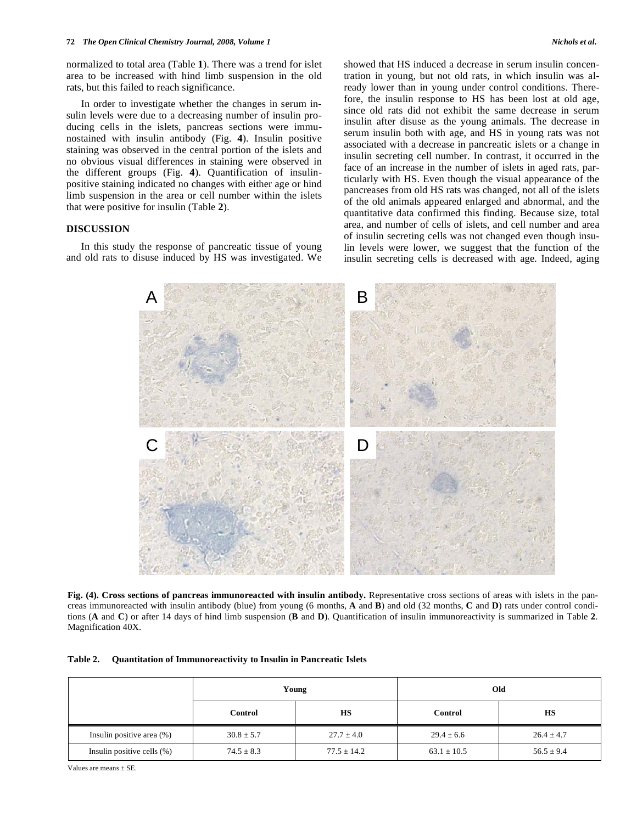normalized to total area (Table **1**). There was a trend for islet area to be increased with hind limb suspension in the old rats, but this failed to reach significance.

 In order to investigate whether the changes in serum insulin levels were due to a decreasing number of insulin producing cells in the islets, pancreas sections were immunostained with insulin antibody (Fig. **4**). Insulin positive staining was observed in the central portion of the islets and no obvious visual differences in staining were observed in the different groups (Fig. **4**). Quantification of insulinpositive staining indicated no changes with either age or hind limb suspension in the area or cell number within the islets that were positive for insulin (Table **2**).

# **DISCUSSION**

 In this study the response of pancreatic tissue of young and old rats to disuse induced by HS was investigated. We showed that HS induced a decrease in serum insulin concentration in young, but not old rats, in which insulin was already lower than in young under control conditions. Therefore, the insulin response to HS has been lost at old age, since old rats did not exhibit the same decrease in serum insulin after disuse as the young animals. The decrease in serum insulin both with age, and HS in young rats was not associated with a decrease in pancreatic islets or a change in insulin secreting cell number. In contrast, it occurred in the face of an increase in the number of islets in aged rats, particularly with HS. Even though the visual appearance of the pancreases from old HS rats was changed, not all of the islets of the old animals appeared enlarged and abnormal, and the quantitative data confirmed this finding. Because size, total area, and number of cells of islets, and cell number and area of insulin secreting cells was not changed even though insulin levels were lower, we suggest that the function of the insulin secreting cells is decreased with age. Indeed, aging



**Fig. (4). Cross sections of pancreas immunoreacted with insulin antibody.** Representative cross sections of areas with islets in the pancreas immunoreacted with insulin antibody (blue) from young (6 months, **A** and **B**) and old (32 months, **C** and **D**) rats under control conditions (**A** and **C**) or after 14 days of hind limb suspension (**B** and **D**). Quantification of insulin immunoreactivity is summarized in Table **2**. Magnification 40X.

| Table 2. |  |  |  | Quantitation of Immunoreactivity to Insulin in Pancreatic Islets |
|----------|--|--|--|------------------------------------------------------------------|
|----------|--|--|--|------------------------------------------------------------------|

|                               | Young          |                 | Old             |                |  |
|-------------------------------|----------------|-----------------|-----------------|----------------|--|
|                               | Control        | <b>HS</b>       | Control         | HS             |  |
| Insulin positive area (%)     | $30.8 \pm 5.7$ | $27.7 \pm 4.0$  | $29.4 \pm 6.6$  | $26.4 \pm 4.7$ |  |
| Insulin positive cells $(\%)$ | $74.5 \pm 8.3$ | $77.5 \pm 14.2$ | $63.1 \pm 10.5$ | $56.5 \pm 9.4$ |  |

Values are means  $\pm$  SE.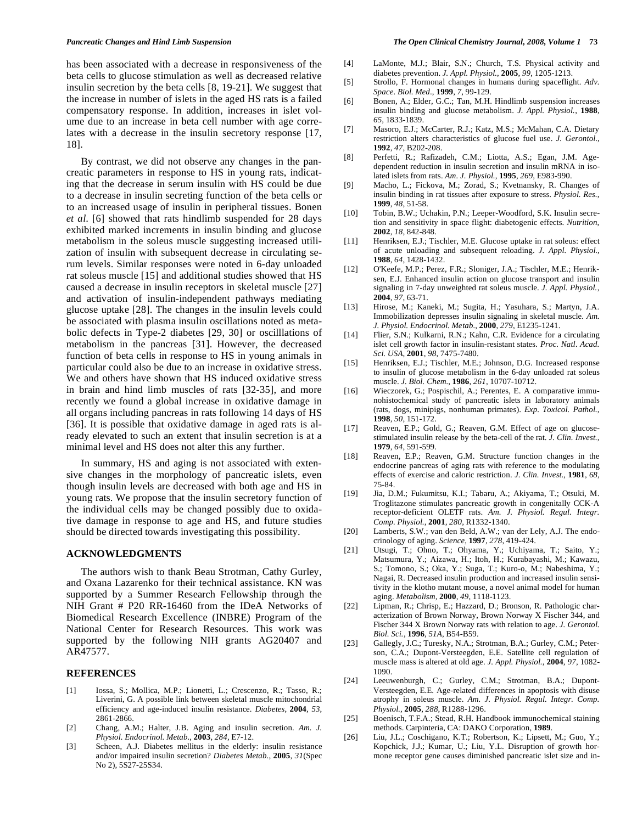has been associated with a decrease in responsiveness of the beta cells to glucose stimulation as well as decreased relative insulin secretion by the beta cells [8, 19-21]. We suggest that the increase in number of islets in the aged HS rats is a failed compensatory response. In addition, increases in islet volume due to an increase in beta cell number with age correlates with a decrease in the insulin secretory response [17, 18].

 By contrast, we did not observe any changes in the pancreatic parameters in response to HS in young rats, indicating that the decrease in serum insulin with HS could be due to a decrease in insulin secreting function of the beta cells or to an increased usage of insulin in peripheral tissues. Bonen *et al*. [6] showed that rats hindlimb suspended for 28 days exhibited marked increments in insulin binding and glucose metabolism in the soleus muscle suggesting increased utilization of insulin with subsequent decrease in circulating serum levels. Similar responses were noted in 6-day unloaded rat soleus muscle [15] and additional studies showed that HS caused a decrease in insulin receptors in skeletal muscle [27] and activation of insulin-independent pathways mediating glucose uptake [28]. The changes in the insulin levels could be associated with plasma insulin oscillations noted as metabolic defects in Type-2 diabetes [29, 30] or oscilllations of metabolism in the pancreas [31]. However, the decreased function of beta cells in response to HS in young animals in particular could also be due to an increase in oxidative stress. We and others have shown that HS induced oxidative stress in brain and hind limb muscles of rats [32-35], and more recently we found a global increase in oxidative damage in all organs including pancreas in rats following 14 days of HS [36]. It is possible that oxidative damage in aged rats is already elevated to such an extent that insulin secretion is at a minimal level and HS does not alter this any further.

 In summary, HS and aging is not associated with extensive changes in the morphology of pancreatic islets, even though insulin levels are decreased with both age and HS in young rats. We propose that the insulin secretory function of the individual cells may be changed possibly due to oxidative damage in response to age and HS, and future studies should be directed towards investigating this possibility.

#### **ACKNOWLEDGMENTS**

 The authors wish to thank Beau Strotman, Cathy Gurley, and Oxana Lazarenko for their technical assistance. KN was supported by a Summer Research Fellowship through the NIH Grant # P20 RR-16460 from the IDeA Networks of Biomedical Research Excellence (INBRE) Program of the National Center for Research Resources. This work was supported by the following NIH grants AG20407 and AR47577.

#### **REFERENCES**

- [1] Iossa, S.; Mollica, M.P.; Lionetti, L.; Crescenzo, R.; Tasso, R.; Liverini, G. A possible link between skeletal muscle mitochondrial efficiency and age-induced insulin resistance. *Diabetes*, **2004**, *53*, 2861-2866.
- [2] Chang, A.M.; Halter, J.B. Aging and insulin secretion. *Am. J. Physiol. Endocrinol. Metab.*, **2003**, *284,* E7-12.
- [3] Scheen, A.J. Diabetes mellitus in the elderly: insulin resistance and/or impaired insulin secretion? *Diabetes Metab.*, **2005**, *31*(Spec No 2), 5S27-25S34.
- [4] LaMonte, M.J.; Blair, S.N.; Church, T.S. Physical activity and diabetes prevention. *J. Appl. Physiol.*, **2005**, *99*, 1205-1213.
- [5] Strollo, F. Hormonal changes in humans during spaceflight. *Adv. Space. Biol. Med*., **1999**, *7*, 99-129.
- [6] Bonen, A.; Elder, G.C.; Tan, M.H. Hindlimb suspension increases insulin binding and glucose metabolism. *J. Appl. Physiol.*, **1988**, *65*, 1833-1839.
- [7] Masoro, E.J.; McCarter, R.J.; Katz, M.S.; McMahan, C.A. Dietary restriction alters characteristics of glucose fuel use. *J. Gerontol.*, **1992**, *47*, B202-208.
- [8] Perfetti, R.; Rafizadeh, C.M.; Liotta, A.S.; Egan, J.M. Agedependent reduction in insulin secretion and insulin mRNA in isolated islets from rats. *Am. J. Physiol.*, **1995**, *269*, E983-990.
- [9] Macho, L.; Fickova, M.; Zorad, S.; Kvetnansky, R. Changes of insulin binding in rat tissues after exposure to stress. *Physiol. Res.*, **1999**, *48*, 51-58.
- [10] Tobin, B.W.; Uchakin, P.N.; Leeper-Woodford, S.K. Insulin secretion and sensitivity in space flight: diabetogenic effects. *Nutrition*, **2002**, *18,* 842-848.
- [11] Henriksen, E.J.; Tischler, M.E. Glucose uptake in rat soleus: effect of acute unloading and subsequent reloading. *J. Appl. Physiol.*, **1988**, *64*, 1428-1432.
- [12] O'Keefe, M.P.; Perez, F.R.; Sloniger, J.A.; Tischler, M.E.; Henriksen, E.J. Enhanced insulin action on glucose transport and insulin signaling in 7-day unweighted rat soleus muscle. *J. Appl. Physiol.*, **2004**, *97*, 63-71.
- [13] Hirose, M.; Kaneki, M.; Sugita, H.; Yasuhara, S.; Martyn, J.A. Immobilization depresses insulin signaling in skeletal muscle. *Am. J. Physiol. Endocrinol. Metab.*, **2000**, *279*, E1235-1241.
- [14] Flier, S.N.; Kulkarni, R.N.; Kahn, C.R. Evidence for a circulating islet cell growth factor in insulin-resistant states. *Proc. Natl. Acad. Sci. USA*, **2001**, *98*, 7475-7480.
- [15] Henriksen, E.J.; Tischler, M.E.; Johnson, D.G. Increased response to insulin of glucose metabolism in the 6-day unloaded rat soleus muscle. *J. Biol. Chem.*, **1986**, *261*, 10707-10712.
- [16] Wieczorek, G.; Pospischil, A.; Perentes, E. A comparative immunohistochemical study of pancreatic islets in laboratory animals (rats, dogs, minipigs, nonhuman primates). *Exp. Toxicol. Pathol.*, **1998**, *50*, 151-172.
- [17] Reaven, E.P.; Gold, G.; Reaven, G.M. Effect of age on glucosestimulated insulin release by the beta-cell of the rat. *J. Clin. Invest.*, **1979**, *64*, 591-599.
- [18] Reaven, E.P.; Reaven, G.M. Structure function changes in the endocrine pancreas of aging rats with reference to the modulating effects of exercise and caloric restriction. *J. Clin. Invest.,* **1981**, *68*, 75-84.
- [19] Jia, D.M.; Fukumitsu, K.I.; Tabaru, A.; Akiyama, T.; Otsuki, M. Troglitazone stimulates pancreatic growth in congenitally CCK-A receptor-deficient OLETF rats. *Am. J. Physiol. Regul. Integr. Comp. Physiol.*, **2001**, *280*, R1332-1340.
- [20] Lamberts, S.W.; van den Beld, A.W.; van der Lely, A.J. The endocrinology of aging. *Science,* **1997**, *278*, 419-424.
- [21] Utsugi, T.; Ohno, T.; Ohyama, Y.; Uchiyama, T.; Saito, Y.; Matsumura, Y.; Aizawa, H.; Itoh, H.; Kurabayashi, M.; Kawazu, S.; Tomono, S.; Oka, Y.; Suga, T.; Kuro-o, M.; Nabeshima, Y.; Nagai, R. Decreased insulin production and increased insulin sensitivity in the klotho mutant mouse, a novel animal model for human aging. *Metabolism,* **2000**, *49*, 1118-1123.
- [22] Lipman, R.; Chrisp, E.; Hazzard, D.; Bronson, R. Pathologic characterization of Brown Norway, Brown Norway X Fischer 344, and Fischer 344 X Brown Norway rats with relation to age. *J. Gerontol. Biol. Sci.*, **1996**, *51A*, B54-B59.
- [23] Gallegly, J.C.; Turesky, N.A.; Strotman, B.A.; Gurley, C.M.; Peterson, C.A.; Dupont-Versteegden, E.E. Satellite cell regulation of muscle mass is altered at old age. *J. Appl. Physiol.*, **2004**, *97*, 1082- 1090.
- [24] Leeuwenburgh, C.; Gurley, C.M.; Strotman, B.A.; Dupont-Versteegden, E.E. Age-related differences in apoptosis with disuse atrophy in soleus muscle. *Am. J. Physiol. Regul. Integr. Comp. Physiol.*, **2005**, *288*, R1288-1296.
- [25] Boenisch, T.F.A.; Stead, R.H. Handbook immunochemical staining methods. Carpinteria, CA: DAKO Corporation, **1989**.
- [26] Liu, J.L.; Coschigano, K.T.; Robertson, K.; Lipsett, M.; Guo, Y.; Kopchick, J.J.; Kumar, U.; Liu, Y.L. Disruption of growth hormone receptor gene causes diminished pancreatic islet size and in-